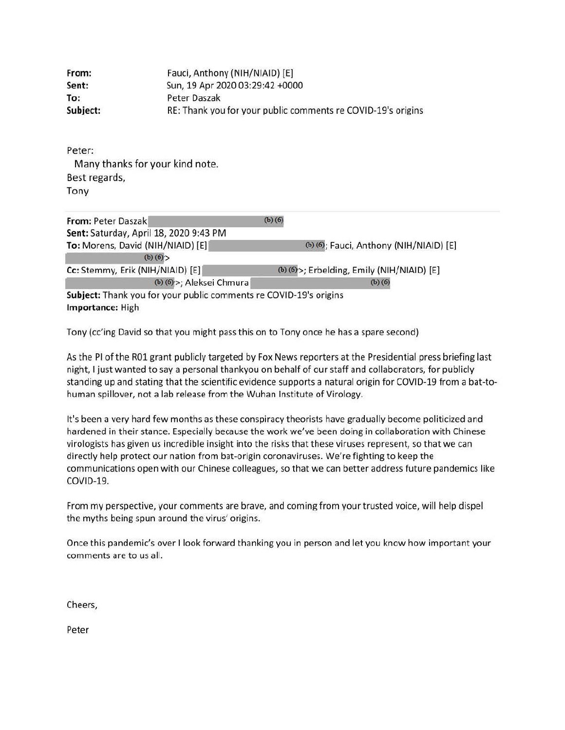| From:    | Fauci, Anthony (NIH/NIAID) [E]                               |
|----------|--------------------------------------------------------------|
| Sent:    | Sun, 19 Apr 2020 03:29:42 +0000                              |
| To:      | Peter Daszak                                                 |
| Subject: | RE: Thank you for your public comments re COVID-19's origins |

Peter: Many thanks for your kind note. Best regards, Tony

| From: Peter Daszak                                                | $(b)$ $(6)$                                 |
|-------------------------------------------------------------------|---------------------------------------------|
| Sent: Saturday, April 18, 2020 9:43 PM                            |                                             |
| To: Morens, David (NIH/NIAID) [E]                                 | (b) (6); Fauci, Anthony (NIH/NIAID) [E]     |
| (b) $(6)$                                                         |                                             |
| Cc: Stemmy, Erik (NIH/NIAID) [E]                                  | (b) (6) >; Erbelding, Emily (NIH/NIAID) [E] |
| (b) (6) >; Aleksei Chmura                                         | $(b)$ $(6)$                                 |
| Subject: Thank you for your public comments re COVID-19's origins |                                             |
| Importance: High                                                  |                                             |

Tony (cc'ing David so that you might pass this on to Tony once he has a spare second)

As the Pl of the ROl grant publicly targeted by Fox News reporters at the Presidential press briefing last night, I just wanted to say a personal thankyou on behalf of our staff and collaborators, for publicly standing up and stating that the scientific evidence supports a natural origin for COVID-19 from a bat-tohuman spillover, not a lab release from the Wuhan Institute of Virology.

It's been a very hard few months as these conspiracy theorists have gradually become politicized and hardened in their stance. Especially because the work we've been doing in collaboration with Chinese virologists has given us incredible insight into the risks that these viruses represent, so that we can directly help protect our nation from bat-origin coronaviruses. We're fighting to keep the communications open with our Chinese colleagues, so that we can better address future pandemics like COVID-19.

From my perspective, your comments are brave, and coming from your trusted voice, will help dispel the myths being spun around the virus' origins.

Once this pandemic's over I look forward thanking you in person and let you know how important your comments are to us all.

Cheers,

Peter